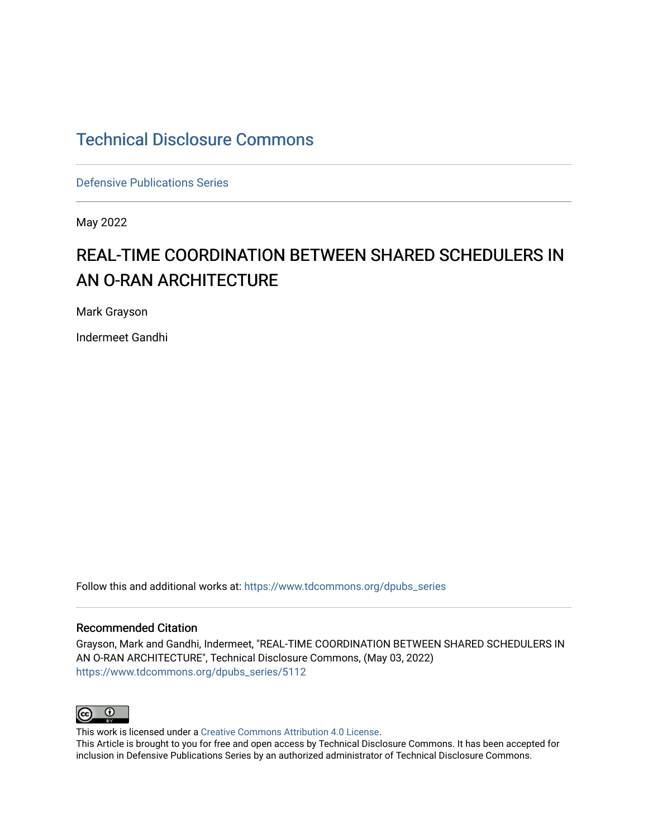## [Technical Disclosure Commons](https://www.tdcommons.org/)

[Defensive Publications Series](https://www.tdcommons.org/dpubs_series)

May 2022

# REAL-TIME COORDINATION BETWEEN SHARED SCHEDULERS IN AN O-RAN ARCHITECTURE

Mark Grayson

Indermeet Gandhi

Follow this and additional works at: [https://www.tdcommons.org/dpubs\\_series](https://www.tdcommons.org/dpubs_series?utm_source=www.tdcommons.org%2Fdpubs_series%2F5112&utm_medium=PDF&utm_campaign=PDFCoverPages) 

#### Recommended Citation

Grayson, Mark and Gandhi, Indermeet, "REAL-TIME COORDINATION BETWEEN SHARED SCHEDULERS IN AN O-RAN ARCHITECTURE", Technical Disclosure Commons, (May 03, 2022) [https://www.tdcommons.org/dpubs\\_series/5112](https://www.tdcommons.org/dpubs_series/5112?utm_source=www.tdcommons.org%2Fdpubs_series%2F5112&utm_medium=PDF&utm_campaign=PDFCoverPages)



This work is licensed under a [Creative Commons Attribution 4.0 License](http://creativecommons.org/licenses/by/4.0/deed.en_US).

This Article is brought to you for free and open access by Technical Disclosure Commons. It has been accepted for inclusion in Defensive Publications Series by an authorized administrator of Technical Disclosure Commons.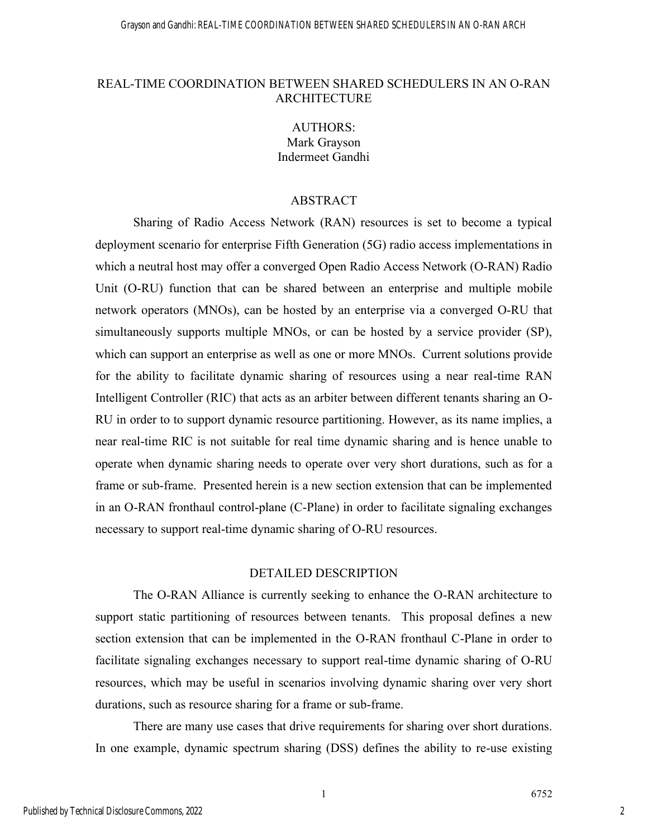### REAL-TIME COORDINATION BETWEEN SHARED SCHEDULERS IN AN O-RAN **ARCHITECTURE**

AUTHORS: Mark Grayson Indermeet Gandhi

#### ABSTRACT

Sharing of Radio Access Network (RAN) resources is set to become a typical deployment scenario for enterprise Fifth Generation (5G) radio access implementations in which a neutral host may offer a converged Open Radio Access Network (O-RAN) Radio Unit (O-RU) function that can be shared between an enterprise and multiple mobile network operators (MNOs), can be hosted by an enterprise via a converged O-RU that simultaneously supports multiple MNOs, or can be hosted by a service provider (SP), which can support an enterprise as well as one or more MNOs. Current solutions provide for the ability to facilitate dynamic sharing of resources using a near real-time RAN Intelligent Controller (RIC) that acts as an arbiter between different tenants sharing an O-RU in order to to support dynamic resource partitioning. However, as its name implies, a near real-time RIC is not suitable for real time dynamic sharing and is hence unable to operate when dynamic sharing needs to operate over very short durations, such as for a frame or sub-frame. Presented herein is a new section extension that can be implemented in an O-RAN fronthaul control-plane (C-Plane) in order to facilitate signaling exchanges necessary to support real-time dynamic sharing of O-RU resources.

#### DETAILED DESCRIPTION

The O-RAN Alliance is currently seeking to enhance the O-RAN architecture to support static partitioning of resources between tenants. This proposal defines a new section extension that can be implemented in the O-RAN fronthaul C-Plane in order to facilitate signaling exchanges necessary to support real-time dynamic sharing of O-RU resources, which may be useful in scenarios involving dynamic sharing over very short durations, such as resource sharing for a frame or sub-frame.

There are many use cases that drive requirements for sharing over short durations. In one example, dynamic spectrum sharing (DSS) defines the ability to re-use existing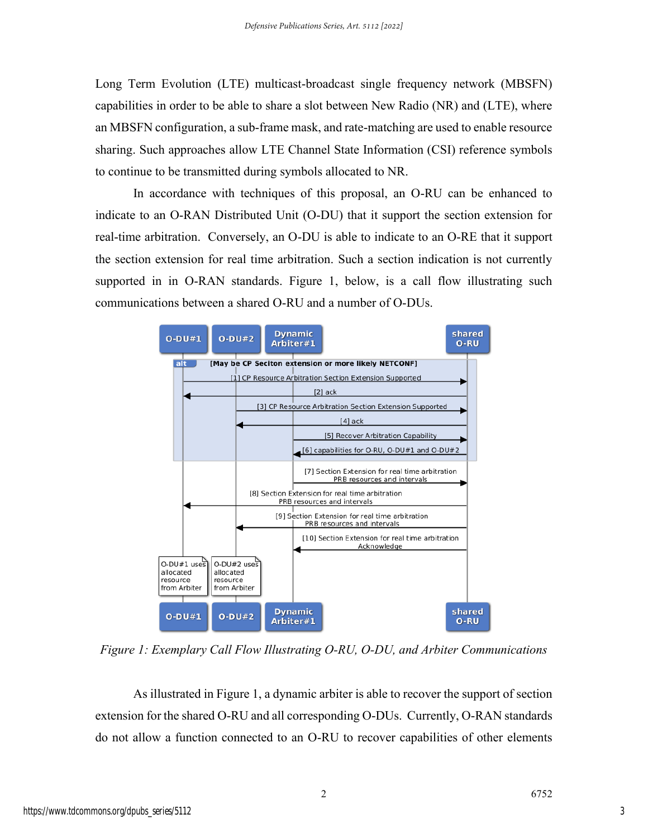Long Term Evolution (LTE) multicast-broadcast single frequency network (MBSFN) capabilities in order to be able to share a slot between New Radio (NR) and (LTE), where an MBSFN configuration, a sub-frame mask, and rate-matching are used to enable resource sharing. Such approaches allow LTE Channel State Information (CSI) reference symbols to continue to be transmitted during symbols allocated to NR.

In accordance with techniques of this proposal, an O-RU can be enhanced to indicate to an O-RAN Distributed Unit (O-DU) that it support the section extension for real-time arbitration. Conversely, an O-DU is able to indicate to an O-RE that it support the section extension for real time arbitration. Such a section indication is not currently supported in in O-RAN standards. Figure 1, below, is a call flow illustrating such communications between a shared O-RU and a number of O-DUs.



*Figure 1: Exemplary Call Flow Illustrating O-RU, O-DU, and Arbiter Communications*

As illustrated in Figure 1, a dynamic arbiter is able to recover the support of section extension for the shared O-RU and all corresponding O-DUs. Currently, O-RAN standards do not allow a function connected to an O-RU to recover capabilities of other elements